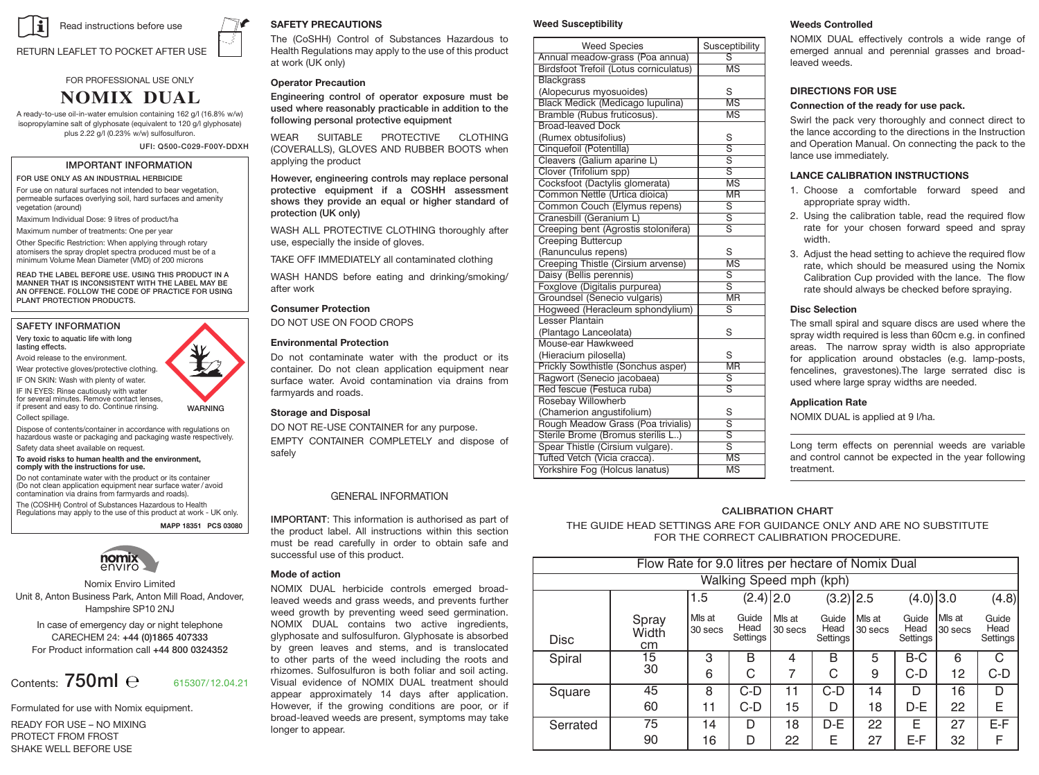

#### **RETURN LEAFLET TO POCKET AFTER USE AREAS AREAS**, INDUSTRIAL AND FELLOOL **POCKET AFTER USE**

**FOR PROFESSIONAL USE ONLY** 

# **NOMIX DUAL**

**AGRICULTURAL BULFURAL**<br>A ready-to-use oil-in-water emulsion containing 162 g/l (16.8% w/w) **FOR USE ASSETS ASSETS ASSETS ASSETS AND ARRANGE (SQUATION TO A HORTICULTURE SALT ASSETS)**<br> **INDUSTRIAL BUSTRIAL CHERBICION**<br> **INCOLLERAL ARRANGE ASSETS ASSETS AND ARRANGE ARRANGE AND A HORTIC AT ON A HORTIC CHERBIC CHERBI Apple, pear, damson, cherry, plum, natural surfaces not intended to bear A ready-to-use emulsion containing 120 g/l** plus 2.22 g/l (0.23% w/w) sulfosulfuron.

**vegetation, permeable surfaces overlying soil, hard surfaces, amenity IMPORTANT INFORMATION glyphosate as the isopropylamine salt of** UFI: Q500-C029-F00Y-DDXH **ville** water-open waters waters **glyphosate 162 g/l (16.5% w/w), and sulfosulfuron**

FOR USE ONLY AS AN INDUSTRIAL HERBICIDE

FOR USE UNLY AS AN INDUSTRIAL HERBIGIDE<br>For use on natural surfaces not intended to bear vegetation, For use on natural surfaces not intended to bear vegetation,<br>permeable surfaces overlying soil, hard surfaces and amenity<br>vegetation (around) vegetation (around)

Maximum Individual Dose: 9 litres of product/ha **protection (UK only)** 

waximum individual dose: 9 litres of product na<br>Maximum number of treatments: One per year

waximum number of treatments: One per year<br>Other Specific Restriction: When applying through rotary Maximum number of treatments: One per year and the control of the CITC of the Secolar Maximum of the USD of the USD of the USD of the USD at a discription of the USD at a discription of the USD at a discription of the USD aftermeers and spray anspiel speedid produced must be or distinguished the stage.

**PLANT PROTECTION PRODUCTS.**<br> **Consumer Protection** READ THE LABEL BEFORE USE. USING THIS PRODUCT IN A **IMPORTANT IN A LABEL AREAD** MEAD THE EABLE BET ONE OSE: OSING THIS PRODUCT IN A<br>MANNER THAT IS INCONSISTENT WITH THE LABEL MAY BE MANNER THAT IS INCONSISTENT WITH THE LABEL MAY BE THE CONSIDER THE CONSISTENT WAS A SERIES ON A SERIES ON A SERIES ON A SERIES ON A SERIES ON A SERIES ON A SERIES ON A SERIES ON A SERIES ON A SERIES ON A SERIES ON A SERIES NUMBER OF APPLICATIONS: NOT APPLICATION: NOT APPLICATION: NOTECTION: NOTECTION: NOTECTION: NOTECTION: NOTECTION: NOTECTION: NOTECTION: NOTECTION: NOTECTION: NOTECTION: NOTECTION: NOTECTION: NOTECTION: NOTECTION: NOTECTION: **READ THE LABEL BEFORE USE** 

**Other specific restrictions:** The spray droplet spectra produced must be of a

# SAFETY INFORMATION

Wear protective gloves/protective clothing.<br>
The complete Restrictions for use of the instructions of the instruction:

**SAFETY PRECAUTIONS**

IF ON SKIN: Wash with plenty of water.

for several minutes. Remove contact lenses,<br>
If present and easy to do. Continue rinsing.<br>
WARNING<br>
Storage and Disposal n present and easy to do. Contractor.<br>Collect spillage.

Safety data sheet available on request. oonect spinage.<br>Dispose of contents/container in accordance with regulations on playous on contenes, container in accondance widtheadors on<br>hazardous waste or packaging and packaging waste respectively.<br>Safety data sheet available on request.

### **WARNING comply with the instructions for use. comply with the instructions for use.** To avoid risks to human health and the environment, Safely

Do not contaminate water with the product or its container<br>(Do not clean application equipment near surface water*/* avoid contamination via drains from farmyards and roads). The (COSHH) Control of Substances Hazardous to Health<br>Regulations may apply to the use of this product at work - UK only.<br>. **PCS PCS NOSE Do not contaminate water with the product or its container** The (COSHH) Control of Substances Hazardous to Health

contents/container to a licensed waste disposal **MAPP 18351 PCS 03080**



Nomix Enviro Limited Nomix Enviro Limited<br>Unit 8, Anton Business Park, Anton Mill Road, Andover, Hampshire SP10 2NJ Operator Protection **WARNING** 

weed<br>In case of emergency day or night telephone MOMI. CARECHEM 24: +44 (0)1865 407333 glyphosate and sulfosulfu For Product information call +44 800 0324352 by green leaves and<br>for Product information call +44 800 0324352

### Contents: 750ml  $\rm e^{-615307/12.04.21}$ However, engineering controls may replace personal Nomix Enviro, A Division of Frontier Agriculture Ltd,

Formulated for use with Nomix equipment. READY FOR USE – NO MIXING.

PROTECT FROM FROST SHAKE WELL BEFORE USE

# $\mathsf{SAFFETY}$  PRECAUTIONS

SAPETT PRECAUTIONS<br>The (CoSHH) Control of Substances Hazardous to Health Regulations may apply to the use of this product at work (UK only). The conduction of the conduction of the conduction of the conduction of the conduction of the conduction of the conduction of the conduction of the conduction of the conduction of the conduction of the c  $i$  work (ordinary) weed growth by preventing  $\mathbf{p}$ 

# **Operator Precaution**

Engineering control of operator exposure must be Engineering control of operator exposure must be<br>used where reasonably practicable in addition to the product to control aquatic weeds. Protection Agency) before using the product near (CDA) equipment. other parts of the weed including the roots and following personal protective equipment records between the executive exhaustion is and solution is and solution of acting the correct of  $\sim$ 

WEAT SOMABLE FROTECTIVE CLOTHING applying the product IMPORTANT INFORMATION applying the product WEAR SUITABLE PROTECTIVE CLOTHING

L HERBICIDE HOWEVER, engineering controls may replace personal nowever, engineering controls may replace personal<br>protective equipment if a COSHH assessment meable surfaces overlying soil, hard surfaces and amenity<br>
etation (around)<br>
letation (around) shows they provide an equal of higher standard of<br>protection (UK only)  $\alpha$  decorrection. However, if  $\alpha$ 

.<br>WASH ALL PROTECTIVE CLOTHING thoroughly after where for productive determined and digitize at the use, especially the inside of gloves.

above 30o C. Avoid storage for prolonged periods at temperatures WASH HANDS AND EXPOSED SKIN before meals and after work. **Weeds Controlled** TAKE OFF IMMEDIATELY all contaminated clothing

WASH HANDS before eating and drinking/smoking/ **BEFORE USE REFERENCE** emerged and perennial grasses and perennial grasses and perennial grasses and perennial grasses and broad-

SOMETHING DO NOT USE ON FOOD CROPS<br>SAFETY INFORMATION DO NOT USE ON FOOD CROPS

# **Environmental Protection**

**PLANTS CONTACT DESIGNATE** container. Do not clean application equipment hear<br>surface water. Avoid contamination via drains from sunace water. Avoid containmation via drams nome<br>farmyards and roads. IF IN EYES: Rinse cautiously with water **EXAMELIAE COLLECT Spillage.** The spectra produced spectra produced spectra produced spectra produced spectra produced spectra produced spectra produced spectra produced spectra prod **PO not containmate water with the product or its** container. Do not clean application equipment near

# $\boldsymbol{\mathsf{Storage}}$  and  $\boldsymbol{\mathsf{Disposal}}$

Collect splitage.<br>
DO NOT RE-USE CONTAINER for any purpose.<br>
https://www.textor.org/squipp.and.nackgripp.ungto.menta/menactively backgroup of the condition of the conditional conditions of the conditional conditions of the condition of the condition of the condition of the condition of the condition of the condition of the condition of the condition  $r_{\rm eff}$  for use for use formulation. It is absorbed by the foliage by the foliage by the foliage by the foliage by the foliage by the foliage by the foliage by the foliage by the foliage by the foliage by the foliage by  $H^2(\mathbb{R}^d)$  contains the interval volume is an ultra low volume is an ultra low volume is an ultra low volume is an ultra low volume is an ultra low volume is an ultra low volume is an ultra low volume is an ultra low safely

### **GENERAL INFORMATION LOCINE CONSTRUCTS IN A MELLO WEEDS IN A MELLO WEEDS IN A MELLO WE**

**IMPORTANT:** This information is authorised as part of the product label. All instructions within this section must be read carefully in order to obtain safe and successful use of this product. **Directions for the safe disposal of the plant**

#### **protection production production production production production CARECHEM 24: 01865 407333**

Unit 8, Anton Business Park, Anton Mill Road, Andover, leaved weeds and grass weeds, and prevents further weed growth by preventing weed seed germination. NOMIX DUAL contains two active ingredients, glyphosate and sulfosulfuron. Glyphosate is absorbed by green leaves and stems, and is translocated to other parts of the weed including the roots and to once patts of the weed mediating the tools and<br>thizomes. Sulfosulfuron is both foliar and soil acting. mizones. Sanosandron is both ronal and son deang.<br>Visual evidence of NOMIX DUAL treatment should appear approximately 14 days after application. appear approximately is use and approximately<br>Formulated for use with Nomix equipment However, if the growing conditions are poor, or if broad-leaved weeds are present, symptoms may take or if broad-leaved weeds are present, symptoms may take Instruction and Operation manual. longer to appear. NOMIX DUAL herbicide controls emerged broad-

# Weed Susceptibility

| <b>Weed Species</b>                    | NOMIX DUAL effectively controls a wide range of<br>Susceptibility |                                                                                                                                                       |  |  |  |  |
|----------------------------------------|-------------------------------------------------------------------|-------------------------------------------------------------------------------------------------------------------------------------------------------|--|--|--|--|
| Annual meadow-grass (Poa annua)        | $\overline{s}$                                                    | emerged annual and perennial grasses and broad-<br>zheew heveel                                                                                       |  |  |  |  |
| Birdsfoot Trefoil (Lotus corniculatus) | MS                                                                |                                                                                                                                                       |  |  |  |  |
| <b>Blackgrass</b>                      |                                                                   |                                                                                                                                                       |  |  |  |  |
| (Alopecurus myosuoides)                | S                                                                 | <b>DIRECTIONS FOR USE</b>                                                                                                                             |  |  |  |  |
| Black Medick (Medicago lupulina)       | MS                                                                | Connection of the ready for use pack.                                                                                                                 |  |  |  |  |
| Bramble (Rubus fruticosus).            | <b>MS</b>                                                         | Swirl the pack very thoroughly and connect direct to                                                                                                  |  |  |  |  |
| Broad-leaved Dock                      |                                                                   | the lance according to the directions in the Instruction                                                                                              |  |  |  |  |
| (Rumex obtusifolius)                   | S                                                                 | and Operation Manual. On connecting the pack to the                                                                                                   |  |  |  |  |
| Cinquefoil (Potentilla)                | $\overline{s}$                                                    | lance use immediately.                                                                                                                                |  |  |  |  |
| Cleavers (Galium aparine L)            | $\overline{s}$                                                    |                                                                                                                                                       |  |  |  |  |
| Clover (Trifolium spp)                 | $\overline{s}$                                                    | <b>LANCE CALIBRATION INSTRUCTIONS</b>                                                                                                                 |  |  |  |  |
| Cocksfoot (Dactylis glomerata)         | MS                                                                |                                                                                                                                                       |  |  |  |  |
| Common Nettle (Urtica dioica)          | <b>MR</b>                                                         | 1. Choose a comfortable forward speed and                                                                                                             |  |  |  |  |
| Common Couch (Elymus repens)           | $\overline{s}$                                                    | appropriate spray width.                                                                                                                              |  |  |  |  |
| Cranesbill (Geranium L)                | $\overline{s}$                                                    | 2. Using the calibration table, read the required flow                                                                                                |  |  |  |  |
| Creeping bent (Agrostis stolonifera)   | $\overline{s}$                                                    | rate for your chosen forward speed and spray                                                                                                          |  |  |  |  |
| <b>Creeping Buttercup</b>              |                                                                   | width.                                                                                                                                                |  |  |  |  |
| (Ranunculus repens)                    | S                                                                 | 3. Adjust the head setting to achieve the required flow                                                                                               |  |  |  |  |
| Creeping Thistle (Cirsium arvense)     | MS                                                                | rate, which should be measured using the Nomix<br>Calibration Cup provided with the lance. The flow<br>rate should always be checked before spraying. |  |  |  |  |
| Daisy (Bellis perennis)                | $\overline{s}$                                                    |                                                                                                                                                       |  |  |  |  |
| Foxglove (Digitalis purpurea)          | $\overline{s}$                                                    |                                                                                                                                                       |  |  |  |  |
| Groundsel (Senecio vulgaris)           | $\overline{\text{MR}}$                                            |                                                                                                                                                       |  |  |  |  |
| Hogweed (Heracleum sphondylium)        | s                                                                 | <b>Disc Selection</b>                                                                                                                                 |  |  |  |  |
| <b>Lesser Plantain</b>                 |                                                                   | The small spiral and square discs are used where the                                                                                                  |  |  |  |  |
| (Plantago Lanceolata)                  | S                                                                 | spray width required is less than 60cm e.g. in confined                                                                                               |  |  |  |  |
| Mouse-ear Hawkweed                     |                                                                   | areas. The narrow spray width is also appropriate                                                                                                     |  |  |  |  |
| (Hieracium pilosella)                  | S                                                                 | for application around obstacles (e.g. lamp-posts,                                                                                                    |  |  |  |  |
| Prickly Sowthistle (Sonchus asper)     | $\overline{\text{MR}}$                                            | fencelines, gravestones). The large serrated disc is                                                                                                  |  |  |  |  |
| Ragwort (Senecio jacobaea)             | s                                                                 | used where large spray widths are needed.                                                                                                             |  |  |  |  |
| Red fescue (Festuca ruba)              | $\overline{s}$                                                    |                                                                                                                                                       |  |  |  |  |
| Rosebay Willowherb                     |                                                                   | <b>Application Rate</b>                                                                                                                               |  |  |  |  |
| (Chamerion angustifolium)              | S                                                                 | NOMIX DUAL is applied at 9 I/ha.                                                                                                                      |  |  |  |  |
| Rough Meadow Grass (Poa trivialis)     | $\overline{s}$                                                    |                                                                                                                                                       |  |  |  |  |
| Sterile Brome (Bromus sterilis L)      | $\overline{s}$                                                    |                                                                                                                                                       |  |  |  |  |
| Spear Thistle (Cirsium vulgare).       | $\overline{s}$                                                    | Long term effects on perennial weeds are variable                                                                                                     |  |  |  |  |
| Tufted Vetch (Vicia cracca).           | $\overline{\text{MS}}$                                            | and control cannot be expected in the year following                                                                                                  |  |  |  |  |
| Yorkshire Fog (Holcus lanatus)         | MS                                                                | treatment.                                                                                                                                            |  |  |  |  |

# lines, gravestones) or for spot treatment of paved areas The narrow swath is appropriate for application to **Weeds controlled Timing of Application Weeds Controlled**

weeds Controlled<br>NOMIX DUAL effectively controls a wide range of emerged annual and perennial grasses and broadstated weeds. leaved weeds.

# **DIRECTIONS FOR USE**

- of less than 30 common about the reduced to the speed that a reduced to the reduced to the summer.
- Creeping bent (Agrostis stolonifera) S rate for your chosen forward speed and spray applicator using Nomix Cleaner, especially between **Equipment hygiene** application of Nomix Dual. width. according to the directions in the Instructions in the Instruction and Operations in the Instruction and Operations in the Instruction and Operations in the Instruction and Operations in the Instruction and Operations in t
	- 3. Adjust the head setting to achieve the required flow contamination from such products. applying this product and other pesticides, to avoid **Connection of the Ready to Use Pack** rate, which should be measured using the Nomix Calibration Cup provided with the lance. The flow 1. Choose appropriate spray width.

### **Disc Selection charters flow rate use immediately.**

#### Application nate **Discretion Rate Application Rate**  $T_{\rm s}$

# $\overline{S}$ CALIBRATION CHART

CALIBRATION CHART<br>THE GUIDE HEAD SETTINGS ARE FOR GUIDANCE ONLY AND ARE NO SUBSTITUTE<br>FOR THE CORRECT CALIBRATION PROCEDURE. THE GUIDE HEAD SETTINGS ARE FOR GUIDANCE ONER AND ARE NO G.<br>FOR THE CORRECT CALIBRATION PROCEDURE.

| Flow Rate for 9.0 litres per hectare of Nomix Dual |                      |                   |                           |                   |                           |                   |                           |                   |                           |  |  |
|----------------------------------------------------|----------------------|-------------------|---------------------------|-------------------|---------------------------|-------------------|---------------------------|-------------------|---------------------------|--|--|
| Walking Speed mph (kph)                            |                      |                   |                           |                   |                           |                   |                           |                   |                           |  |  |
|                                                    |                      | 1.5               | $(2.4)$ 2.0               |                   | $(3.2)$ 2.5               |                   | $(4.0)$ 3.0               |                   | (4.8)                     |  |  |
| <b>Disc</b>                                        | Spray<br>Width<br>cm | Mls at<br>30 secs | Guide<br>Head<br>Settings | Mis at<br>30 secs | Guide<br>Head<br>Settings | Mls at<br>30 secs | Guide<br>Head<br>Settings | Mls at<br>30 secs | Guide<br>Head<br>Settings |  |  |
| Spiral                                             | 15                   | 3                 | B                         | 4                 | B                         | 5                 | $B-C$                     | 6                 | C                         |  |  |
|                                                    | 30                   | 6                 | C                         | 7                 | C                         | 9                 | $C-D$                     | 12                | C-D                       |  |  |
| Square                                             | 45                   | 8                 | $C-D$                     | 11                | $C-D$                     | 14                | D                         | 16                | D                         |  |  |
|                                                    | 60                   | 11                | $C-D$                     | 15                | D                         | 18                | D-E                       | 22                | E                         |  |  |
| Serrated                                           | 75                   | 14                | D                         | 18                | $D-E$                     | 22                | Ε                         | 27                | E-F                       |  |  |
|                                                    | 90                   | 16                | D                         | 22                | Ε                         | 27                | E-F                       | 32                | F                         |  |  |





Very toxic to aquatic life with long<br>lasting effects **OFFERCE.** FOR PRACTICE FOR PRACTICE FOR PRACTICE PLANTICIPY OF PRACTICE PLANTICE PLANTICE PLANTICE PLANTICE PLANTICE PLANTICE PLANTICE PLANTICE PLANTICE PLANTICE PLANTICE PLANTICE PLANTICE PLANTICE PLANTICE PLANTICE PLANT **PROTECTION PRODUCTS.**<br> **PRODUCTS**